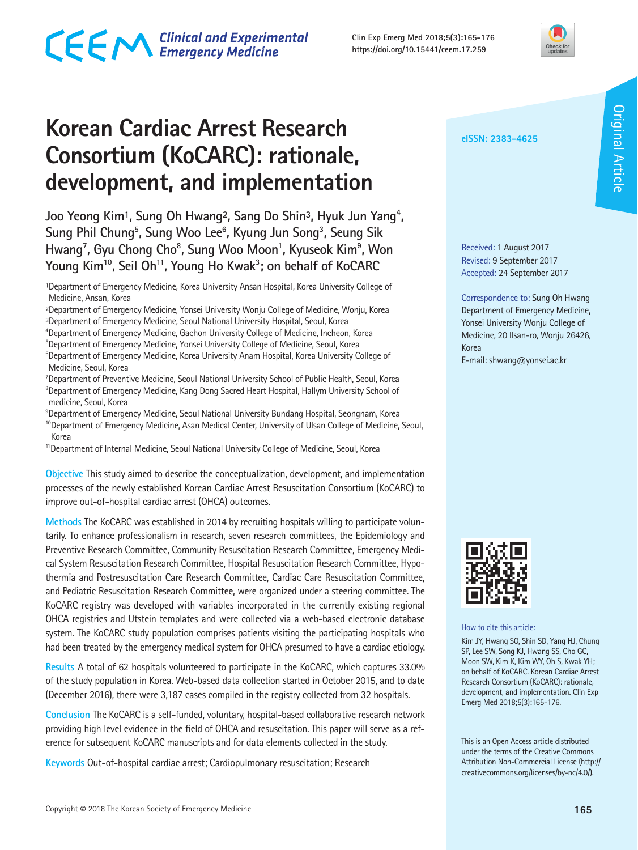# CECM Clinical and Experimental

**Korean Cardiac Arrest Research Consortium (KoCARC): rationale, development, and implementation**

Joo Yeong Kim<sup>1</sup>, Sung Oh Hwang<sup>2</sup>, Sang Do Shin<sup>3</sup>, Hyuk Jun Yang<sup>4</sup>, Sung Phil Chung<sup>5</sup>, Sung Woo Lee<sup>6</sup>, Kyung Jun Song<sup>3</sup>, Seung Sik Hwang<sup>7</sup>, Gyu Chong Cho<sup>8</sup>, Sung Woo Moon<sup>1</sup>, Kyuseok Kim<sup>9</sup>, Won **Young Kim10, Seil Oh11, Young Ho Kwak3 ; on behalf of KoCARC**

<sup>1</sup>Department of Emergency Medicine, Korea University Ansan Hospital, Korea University College of Medicine, Ansan, Korea

²Department of Emergency Medicine, Yonsei University Wonju College of Medicine, Wonju, Korea ³Department of Emergency Medicine, Seoul National University Hospital, Seoul, Korea

4 Department of Emergency Medicine, Gachon University College of Medicine, Incheon, Korea 5 Department of Emergency Medicine, Yonsei University College of Medicine, Seoul, Korea <sup>6</sup>Department of Emergency Medicine, Korea University Anam Hospital, Korea University College of Medicine, Seoul, Korea

7 Department of Preventive Medicine, Seoul National University School of Public Health, Seoul, Korea <sup>8</sup>Department of Emergency Medicine, Kang Dong Sacred Heart Hospital, Hallym University School of medicine, Seoul, Korea

 $^9$ Department of Emergency Medicine, Seoul National University Bundang Hospital, Seongnam, Korea <sup>10</sup>Department of Emergency Medicine, Asan Medical Center, University of Ulsan College of Medicine, Seoul, Korea

<sup>11</sup> Department of Internal Medicine, Seoul National University College of Medicine, Seoul, Korea

**Objective** This study aimed to describe the conceptualization, development, and implementation processes of the newly established Korean Cardiac Arrest Resuscitation Consortium (KoCARC) to improve out-of-hospital cardiac arrest (OHCA) outcomes.

**Methods** The KoCARC was established in 2014 by recruiting hospitals willing to participate voluntarily. To enhance professionalism in research, seven research committees, the Epidemiology and Preventive Research Committee, Community Resuscitation Research Committee, Emergency Medical System Resuscitation Research Committee, Hospital Resuscitation Research Committee, Hypothermia and Postresuscitation Care Research Committee, Cardiac Care Resuscitation Committee, and Pediatric Resuscitation Research Committee, were organized under a steering committee. The KoCARC registry was developed with variables incorporated in the currently existing regional OHCA registries and Utstein templates and were collected via a web-based electronic database system. The KoCARC study population comprises patients visiting the participating hospitals who had been treated by the emergency medical system for OHCA presumed to have a cardiac etiology.

**Results** A total of 62 hospitals volunteered to participate in the KoCARC, which captures 33.0% of the study population in Korea. Web-based data collection started in October 2015, and to date (December 2016), there were 3,187 cases compiled in the registry collected from 32 hospitals.

**Conclusion** The KoCARC is a self-funded, voluntary, hospital-based collaborative research network providing high level evidence in the field of OHCA and resuscitation. This paper will serve as a reference for subsequent KoCARC manuscripts and for data elements collected in the study.

**Keywords** Out-of-hospital cardiac arrest; Cardiopulmonary resuscitation; Research

**eISSN: 2383-4625**

Received: 1 August 2017 Revised: 9 September 2017 Accepted: 24 September 2017

Correspondence to: Sung Oh Hwang Department of Emergency Medicine, Yonsei University Wonju College of Medicine, 20 Ilsan-ro, Wonju 26426, Korea

E-mail: shwang@yonsei.ac.kr



How to cite this article:

Kim JY, Hwang SO, Shin SD, Yang HJ, Chung SP, Lee SW, Song KJ, Hwang SS, Cho GC, Moon SW, Kim K, Kim WY, Oh S, Kwak YH; on behalf of KoCARC. Korean Cardiac Arrest Research Consortium (KoCARC): rationale, development, and implementation. Clin Exp Emerg Med 2018;5(3):165-176.

This is an Open Access article distributed under the terms of the Creative Commons Attribution Non-Commercial License (http:// creativecommons.org/licenses/by-nc/4.0/).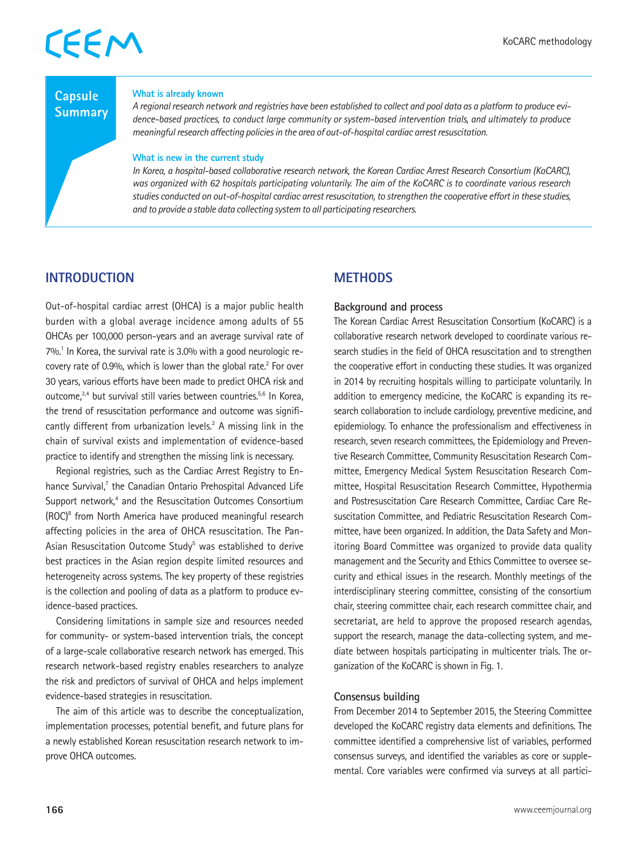## **Capsule Summary**

### **What is already known**

*A regional research network and registries have been established to collect and pool data as a platform to produce evidence-based practices, to conduct large community or system-based intervention trials, and ultimately to produce meaningful research affecting policies in the area of out-of-hospital cardiac arrest resuscitation.*

### **What is new in the current study**

*In Korea, a hospital-based collaborative research network, the Korean Cardiac Arrest Research Consortium (KoCARC), was organized with 62 hospitals participating voluntarily. The aim of the KoCARC is to coordinate various research studies conducted on out-of-hospital cardiac arrest resuscitation, to strengthen the cooperative effort in these studies, and to provide a stable data collecting system to all participating researchers.*

## **INTRODUCTION**

Out-of-hospital cardiac arrest (OHCA) is a major public health burden with a global average incidence among adults of 55 OHCAs per 100,000 person-years and an average survival rate of 7%.<sup>1</sup> In Korea, the survival rate is 3.0% with a good neurologic recovery rate of 0.9%, which is lower than the global rate.<sup>2</sup> For over 30 years, various efforts have been made to predict OHCA risk and outcome,3,4 but survival still varies between countries.5,6 In Korea, the trend of resuscitation performance and outcome was significantly different from urbanization levels.<sup>2</sup> A missing link in the chain of survival exists and implementation of evidence-based practice to identify and strengthen the missing link is necessary.

Regional registries, such as the Cardiac Arrest Registry to Enhance Survival,<sup>7</sup> the Canadian Ontario Prehospital Advanced Life Support network,<sup>4</sup> and the Resuscitation Outcomes Consortium (ROC)8 from North America have produced meaningful research affecting policies in the area of OHCA resuscitation. The Pan-Asian Resuscitation Outcome Study<sup>5</sup> was established to derive best practices in the Asian region despite limited resources and heterogeneity across systems. The key property of these registries is the collection and pooling of data as a platform to produce evidence-based practices.

Considering limitations in sample size and resources needed for community- or system-based intervention trials, the concept of a large-scale collaborative research network has emerged. This research network-based registry enables researchers to analyze the risk and predictors of survival of OHCA and helps implement evidence-based strategies in resuscitation.

The aim of this article was to describe the conceptualization, implementation processes, potential benefit, and future plans for a newly established Korean resuscitation research network to improve OHCA outcomes.

## **METHODS**

### **Background and process**

The Korean Cardiac Arrest Resuscitation Consortium (KoCARC) is a collaborative research network developed to coordinate various research studies in the field of OHCA resuscitation and to strengthen the cooperative effort in conducting these studies. It was organized in 2014 by recruiting hospitals willing to participate voluntarily. In addition to emergency medicine, the KoCARC is expanding its research collaboration to include cardiology, preventive medicine, and epidemiology. To enhance the professionalism and effectiveness in research, seven research committees, the Epidemiology and Preventive Research Committee, Community Resuscitation Research Committee, Emergency Medical System Resuscitation Research Committee, Hospital Resuscitation Research Committee, Hypothermia and Postresuscitation Care Research Committee, Cardiac Care Resuscitation Committee, and Pediatric Resuscitation Research Committee, have been organized. In addition, the Data Safety and Monitoring Board Committee was organized to provide data quality management and the Security and Ethics Committee to oversee security and ethical issues in the research. Monthly meetings of the interdisciplinary steering committee, consisting of the consortium chair, steering committee chair, each research committee chair, and secretariat, are held to approve the proposed research agendas, support the research, manage the data-collecting system, and mediate between hospitals participating in multicenter trials. The organization of the KoCARC is shown in Fig. 1.

### **Consensus building**

From December 2014 to September 2015, the Steering Committee developed the KoCARC registry data elements and definitions. The committee identified a comprehensive list of variables, performed consensus surveys, and identified the variables as core or supplemental. Core variables were confirmed via surveys at all partici-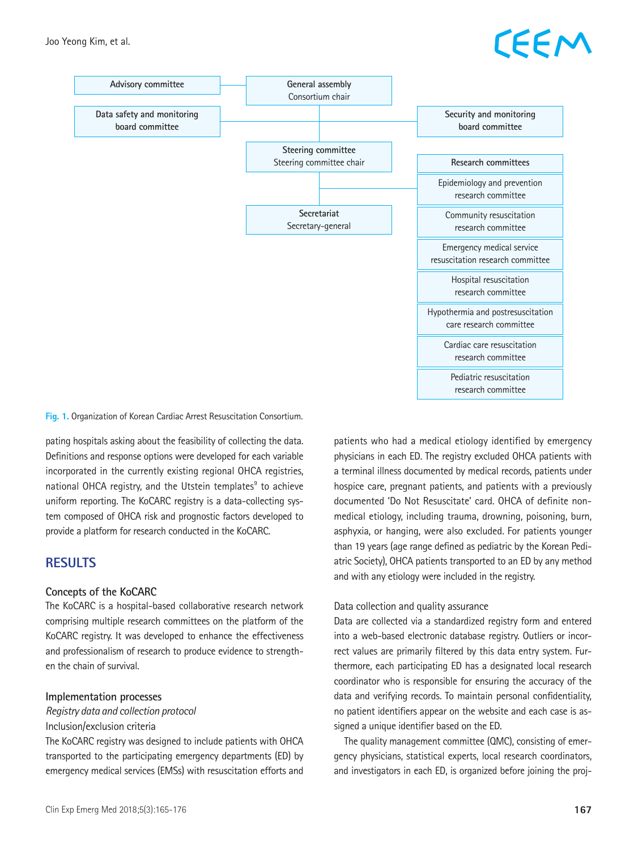# EEM



**Fig. 1.** Organization of Korean Cardiac Arrest Resuscitation Consortium.

pating hospitals asking about the feasibility of collecting the data. Definitions and response options were developed for each variable incorporated in the currently existing regional OHCA registries, national OHCA registry, and the Utstein templates<sup>9</sup> to achieve uniform reporting. The KoCARC registry is a data-collecting system composed of OHCA risk and prognostic factors developed to provide a platform for research conducted in the KoCARC.

## **RESULTS**

### **Concepts of the KoCARC**

The KoCARC is a hospital-based collaborative research network comprising multiple research committees on the platform of the KoCARC registry. It was developed to enhance the effectiveness and professionalism of research to produce evidence to strengthen the chain of survival.

### **Implementation processes**

*Registry data and collection protocol*

### Inclusion/exclusion criteria

The KoCARC registry was designed to include patients with OHCA transported to the participating emergency departments (ED) by emergency medical services (EMSs) with resuscitation efforts and

Clin Exp Emerg Med 2018;5(3):165-176 **167**

patients who had a medical etiology identified by emergency physicians in each ED. The registry excluded OHCA patients with a terminal illness documented by medical records, patients under hospice care, pregnant patients, and patients with a previously documented 'Do Not Resuscitate' card. OHCA of definite nonmedical etiology, including trauma, drowning, poisoning, burn, asphyxia, or hanging, were also excluded. For patients younger than 19 years (age range defined as pediatric by the Korean Pediatric Society), OHCA patients transported to an ED by any method and with any etiology were included in the registry.

### Data collection and quality assurance

Data are collected via a standardized registry form and entered into a web-based electronic database registry. Outliers or incorrect values are primarily filtered by this data entry system. Furthermore, each participating ED has a designated local research coordinator who is responsible for ensuring the accuracy of the data and verifying records. To maintain personal confidentiality, no patient identifiers appear on the website and each case is assigned a unique identifier based on the ED.

The quality management committee (QMC), consisting of emergency physicians, statistical experts, local research coordinators, and investigators in each ED, is organized before joining the proj-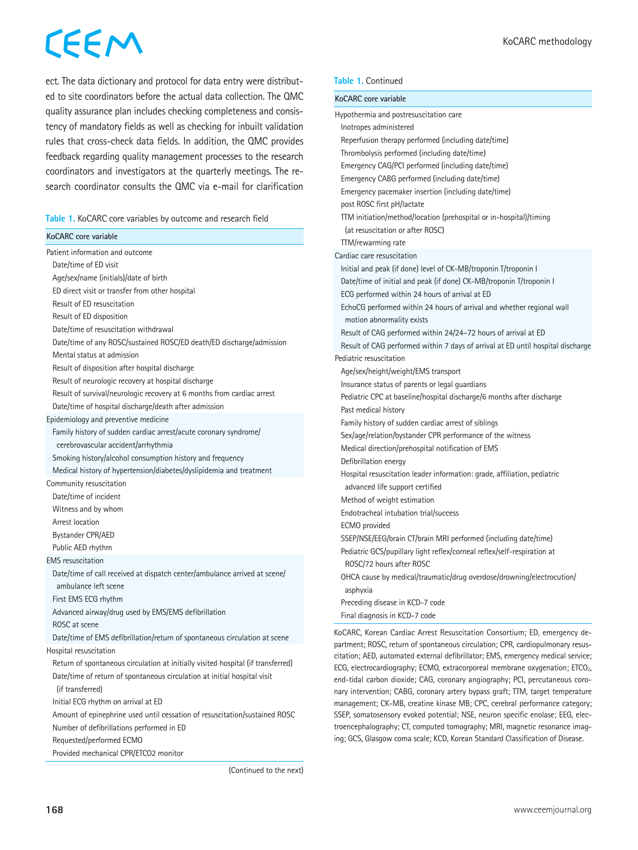ect. The data dictionary and protocol for data entry were distributed to site coordinators before the actual data collection. The QMC quality assurance plan includes checking completeness and consistency of mandatory fields as well as checking for inbuilt validation rules that cross-check data fields. In addition, the QMC provides feedback regarding quality management processes to the research coordinators and investigators at the quarterly meetings. The research coordinator consults the QMC via e-mail for clarification

|  |  | Table 1. KoCARC core variables by outcome and research field |  |  |  |
|--|--|--------------------------------------------------------------|--|--|--|
|--|--|--------------------------------------------------------------|--|--|--|

| KoCARC core variable                                                             |  |
|----------------------------------------------------------------------------------|--|
| Patient information and outcome                                                  |  |
| Date/time of ED visit                                                            |  |
| Age/sex/name (initials)/date of birth                                            |  |
| ED direct visit or transfer from other hospital                                  |  |
| Result of ED resuscitation                                                       |  |
| Result of ED disposition                                                         |  |
| Date/time of resuscitation withdrawal                                            |  |
| Date/time of any ROSC/sustained ROSC/ED death/ED discharge/admission             |  |
| Mental status at admission                                                       |  |
| Result of disposition after hospital discharge                                   |  |
| Result of neurologic recovery at hospital discharge                              |  |
| Result of survival/neurologic recovery at 6 months from cardiac arrest           |  |
| Date/time of hospital discharge/death after admission                            |  |
| Epidemiology and preventive medicine                                             |  |
| Family history of sudden cardiac arrest/acute coronary syndrome/                 |  |
| cerebrovascular accident/arrhythmia                                              |  |
| Smoking history/alcohol consumption history and frequency                        |  |
| Medical history of hypertension/diabetes/dyslipidemia and treatment              |  |
| Community resuscitation                                                          |  |
| Date/time of incident                                                            |  |
| Witness and by whom                                                              |  |
| Arrest location                                                                  |  |
| <b>Bystander CPR/AED</b>                                                         |  |
| Public AED rhythm                                                                |  |
| <b>EMS</b> resuscitation                                                         |  |
| Date/time of call received at dispatch center/ambulance arrived at scene/        |  |
| ambulance left scene                                                             |  |
| First EMS ECG rhythm                                                             |  |
| Advanced airway/drug used by EMS/EMS defibrillation                              |  |
| ROSC at scene                                                                    |  |
| Date/time of EMS defibrillation/return of spontaneous circulation at scene       |  |
| Hospital resuscitation                                                           |  |
| Return of spontaneous circulation at initially visited hospital (if transferred) |  |
| Date/time of return of spontaneous circulation at initial hospital visit         |  |
| (if transferred)                                                                 |  |
| Initial ECG rhythm on arrival at ED                                              |  |
| Amount of epinephrine used until cessation of resuscitation/sustained ROSC       |  |
| Number of defibrillations performed in ED                                        |  |
| Requested/performed ECMO                                                         |  |
| Provided mechanical CPR/ETCO2 monitor                                            |  |

### **Table 1.** Continued

| KoCARC core variable                                                            |
|---------------------------------------------------------------------------------|
| Hypothermia and postresuscitation care                                          |
| Inotropes administered                                                          |
| Reperfusion therapy performed (including date/time)                             |
| Thrombolysis performed (including date/time)                                    |
| Emergency CAG/PCI performed (including date/time)                               |
| Emergency CABG performed (including date/time)                                  |
| Emergency pacemaker insertion (including date/time)                             |
| post ROSC first pH/lactate                                                      |
| TTM initiation/method/location (prehospital or in-hospital)/timing              |
| (at resuscitation or after ROSC)                                                |
| TTM/rewarming rate                                                              |
| Cardiac care resuscitation                                                      |
| Initial and peak (if done) level of CK-MB/troponin T/troponin I                 |
| Date/time of initial and peak (if done) CK-MB/troponin T/troponin I             |
| ECG performed within 24 hours of arrival at ED                                  |
| EchoCG performed within 24 hours of arrival and whether regional wall           |
| motion abnormality exists                                                       |
| Result of CAG performed within 24/24-72 hours of arrival at ED                  |
| Result of CAG performed within 7 days of arrival at ED until hospital discharge |
| Pediatric resuscitation                                                         |
| Age/sex/height/weight/EMS transport                                             |
| Insurance status of parents or legal guardians                                  |
| Pediatric CPC at baseline/hospital discharge/6 months after discharge           |
| Past medical history                                                            |
| Family history of sudden cardiac arrest of siblings                             |
| Sex/age/relation/bystander CPR performance of the witness                       |
| Medical direction/prehospital notification of EMS                               |
| Defibrillation energy                                                           |
| Hospital resuscitation leader information: grade, affiliation, pediatric        |
| advanced life support certified                                                 |
| Method of weight estimation                                                     |
| Endotracheal intubation trial/success                                           |
| <b>ECMO</b> provided                                                            |
| SSEP/NSE/EEG/brain CT/brain MRI performed (including date/time)                 |
| Pediatric GCS/pupillary light reflex/corneal reflex/self-respiration at         |
| ROSC/72 hours after ROSC                                                        |
| OHCA cause by medical/traumatic/drug overdose/drowning/electrocution/           |
| asphyxia                                                                        |
| Preceding disease in KCD-7 code                                                 |
| Final diagnosis in KCD-7 code                                                   |

KoCARC, Korean Cardiac Arrest Resuscitation Consortium; ED, emergency department; ROSC, return of spontaneous circulation; CPR, cardiopulmonary resuscitation; AED, automated external defibrillator; EMS, emergency medical service; ECG, electrocardiography; ECMO, extracorporeal membrane oxygenation; ETCO<sub>2</sub>, end-tidal carbon dioxide; CAG, coronary angiography; PCI, percutaneous coronary intervention; CABG, coronary artery bypass graft; TTM, target temperature management; CK-MB, creatine kinase MB; CPC, cerebral performance category; SSEP, somatosensory evoked potential; NSE, neuron specific enolase; EEG, electroencephalography; CT, computed tomography; MRI, magnetic resonance imaging; GCS, Glasgow coma scale; KCD, Korean Standard Classification of Disease.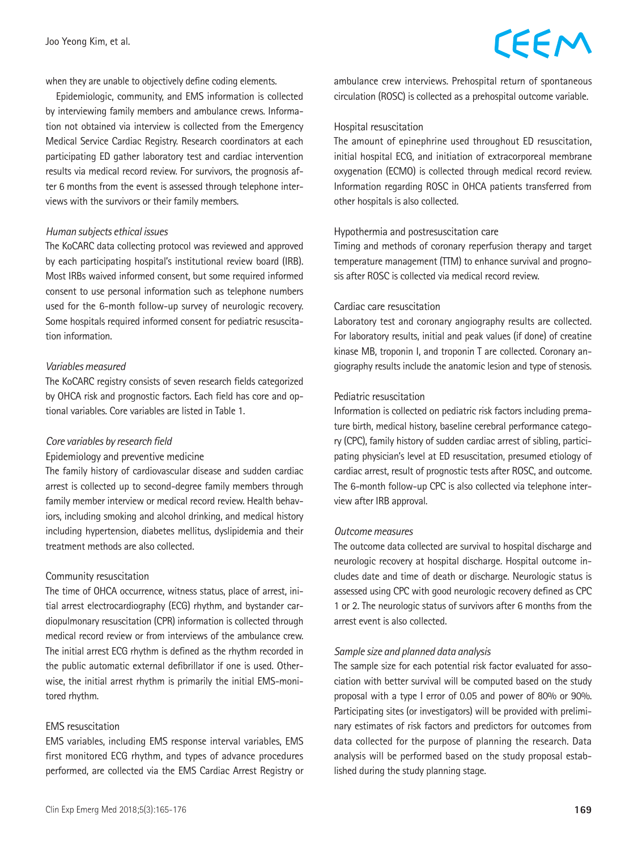### when they are unable to objectively define coding elements.

Epidemiologic, community, and EMS information is collected by interviewing family members and ambulance crews. Information not obtained via interview is collected from the Emergency Medical Service Cardiac Registry. Research coordinators at each participating ED gather laboratory test and cardiac intervention results via medical record review. For survivors, the prognosis after 6 months from the event is assessed through telephone interviews with the survivors or their family members.

### *Human subjects ethical issues*

The KoCARC data collecting protocol was reviewed and approved by each participating hospital's institutional review board (IRB). Most IRBs waived informed consent, but some required informed consent to use personal information such as telephone numbers used for the 6-month follow-up survey of neurologic recovery. Some hospitals required informed consent for pediatric resuscitation information.

### *Variables measured*

The KoCARC registry consists of seven research fields categorized by OHCA risk and prognostic factors. Each field has core and optional variables. Core variables are listed in Table 1.

### *Core variables by research field*

#### Epidemiology and preventive medicine

The family history of cardiovascular disease and sudden cardiac arrest is collected up to second-degree family members through family member interview or medical record review. Health behaviors, including smoking and alcohol drinking, and medical history including hypertension, diabetes mellitus, dyslipidemia and their treatment methods are also collected.

### Community resuscitation

The time of OHCA occurrence, witness status, place of arrest, initial arrest electrocardiography (ECG) rhythm, and bystander cardiopulmonary resuscitation (CPR) information is collected through medical record review or from interviews of the ambulance crew. The initial arrest ECG rhythm is defined as the rhythm recorded in the public automatic external defibrillator if one is used. Otherwise, the initial arrest rhythm is primarily the initial EMS-monitored rhythm.

### EMS resuscitation

EMS variables, including EMS response interval variables, EMS first monitored ECG rhythm, and types of advance procedures performed, are collected via the EMS Cardiac Arrest Registry or

## CEEM

ambulance crew interviews. Prehospital return of spontaneous circulation (ROSC) is collected as a prehospital outcome variable.

### Hospital resuscitation

The amount of epinephrine used throughout ED resuscitation, initial hospital ECG, and initiation of extracorporeal membrane oxygenation (ECMO) is collected through medical record review. Information regarding ROSC in OHCA patients transferred from other hospitals is also collected.

### Hypothermia and postresuscitation care

Timing and methods of coronary reperfusion therapy and target temperature management (TTM) to enhance survival and prognosis after ROSC is collected via medical record review.

### Cardiac care resuscitation

Laboratory test and coronary angiography results are collected. For laboratory results, initial and peak values (if done) of creatine kinase MB, troponin I, and troponin T are collected. Coronary angiography results include the anatomic lesion and type of stenosis.

### Pediatric resuscitation

Information is collected on pediatric risk factors including premature birth, medical history, baseline cerebral performance category (CPC), family history of sudden cardiac arrest of sibling, participating physician's level at ED resuscitation, presumed etiology of cardiac arrest, result of prognostic tests after ROSC, and outcome. The 6-month follow-up CPC is also collected via telephone interview after IRB approval.

### *Outcome measures*

The outcome data collected are survival to hospital discharge and neurologic recovery at hospital discharge. Hospital outcome includes date and time of death or discharge. Neurologic status is assessed using CPC with good neurologic recovery defined as CPC 1 or 2. The neurologic status of survivors after 6 months from the arrest event is also collected.

### *Sample size and planned data analysis*

The sample size for each potential risk factor evaluated for association with better survival will be computed based on the study proposal with a type I error of 0.05 and power of 80% or 90%. Participating sites (or investigators) will be provided with preliminary estimates of risk factors and predictors for outcomes from data collected for the purpose of planning the research. Data analysis will be performed based on the study proposal established during the study planning stage.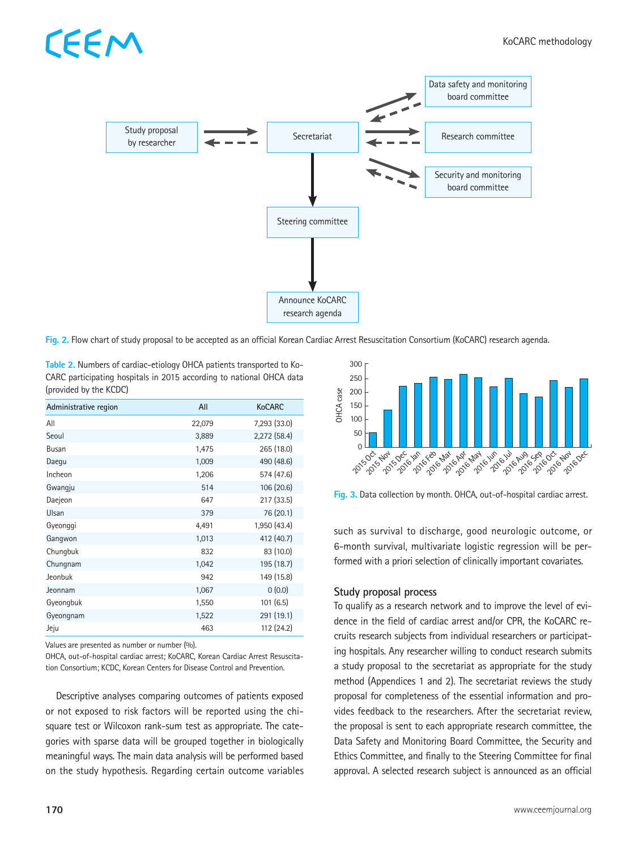

**Fig. 2.** Flow chart of study proposal to be accepted as an official Korean Cardiac Arrest Resuscitation Consortium (KoCARC) research agenda.

**Table 2.** Numbers of cardiac-etiology OHCA patients transported to Ko-CARC participating hospitals in 2015 according to national OHCA data (provided by the KCDC)

| Administrative region | All    | <b>KoCARC</b>  |
|-----------------------|--------|----------------|
| All                   | 22,079 | 7,293 (33.0)   |
| Seoul                 | 3,889  | $2,272$ (58.4) |
| Busan                 | 1,475  | 265 (18.0)     |
| Daegu                 | 1,009  | 490 (48.6)     |
| Incheon               | 1,206  | 574 (47.6)     |
| Gwangju               | 514    | 106 (20.6)     |
| Daejeon               | 647    | 217 (33.5)     |
| Ulsan                 | 379    | 76 (20.1)      |
| Gyeonggi              | 4,491  | 1,950 (43.4)   |
| Gangwon               | 1,013  | 412 (40.7)     |
| Chungbuk              | 832    | 83 (10.0)      |
| Chungnam              | 1,042  | 195 (18.7)     |
| Jeonbuk               | 942    | 149 (15.8)     |
| Jeonnam               | 1,067  | 0(0.0)         |
| Gyeongbuk             | 1,550  | 101(6.5)       |
| Gyeongnam             | 1,522  | 291 (19.1)     |
| Jeju                  | 463    | 112 (24.2)     |

Values are presented as number or number (%).

FFN

OHCA, out-of-hospital cardiac arrest; KoCARC, Korean Cardiac Arrest Resuscitation Consortium; KCDC, Korean Centers for Disease Control and Prevention.

Descriptive analyses comparing outcomes of patients exposed or not exposed to risk factors will be reported using the chisquare test or Wilcoxon rank-sum test as appropriate. The categories with sparse data will be grouped together in biologically meaningful ways. The main data analysis will be performed based on the study hypothesis. Regarding certain outcome variables



**Fig. 3.** Data collection by month. OHCA, out-of-hospital cardiac arrest.

such as survival to discharge, good neurologic outcome, or 6-month survival, multivariate logistic regression will be performed with a priori selection of clinically important covariates.

### **Study proposal process**

To qualify as a research network and to improve the level of evidence in the field of cardiac arrest and/or CPR, the KoCARC recruits research subjects from individual researchers or participating hospitals. Any researcher willing to conduct research submits a study proposal to the secretariat as appropriate for the study method (Appendices 1 and 2). The secretariat reviews the study proposal for completeness of the essential information and provides feedback to the researchers. After the secretariat review, the proposal is sent to each appropriate research committee, the Data Safety and Monitoring Board Committee, the Security and Ethics Committee, and finally to the Steering Committee for final approval. A selected research subject is announced as an official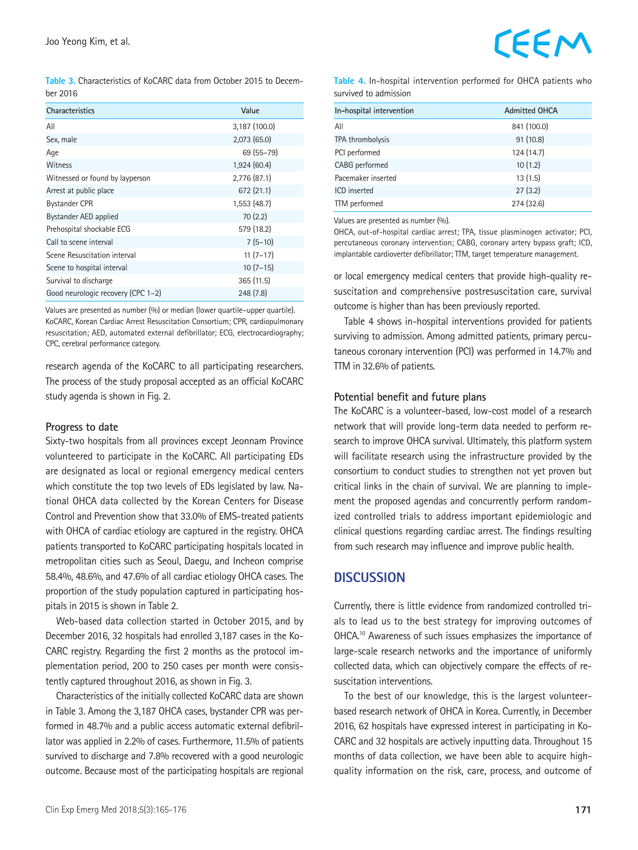**Table 3.** Characteristics of KoCARC data from October 2015 to December 2016

| <b>Characteristics</b>             | Value         |
|------------------------------------|---------------|
| All                                | 3,187 (100.0) |
| Sex, male                          | 2,073(65.0)   |
| Age                                | 69 (55-79)    |
| Witness                            | 1,924(60.4)   |
| Witnessed or found by layperson    | 2,776 (87.1)  |
| Arrest at public place             | 672 (21.1)    |
| <b>Bystander CPR</b>               | 1,553 (48.7)  |
| Bystander AED applied              | 70(2.2)       |
| Prehospital shockable ECG          | 579 (18.2)    |
| Call to scene interval             | $7(5-10)$     |
| Scene Resuscitation interval       | $11(7-17)$    |
| Scene to hospital interval         | $10(7-15)$    |
| Survival to discharge              | 365(11.5)     |
| Good neurologic recovery (CPC 1-2) | 248(7.8)      |

Values are presented as number (%) or median (lower quartile–upper quartile). KoCARC, Korean Cardiac Arrest Resuscitation Consortium; CPR, cardiopulmonary resuscitation; AED, automated external defibrillator; ECG, electrocardiography; CPC, cerebral performance category.

research agenda of the KoCARC to all participating researchers. The process of the study proposal accepted as an official KoCARC study agenda is shown in Fig. 2.

### **Progress to date**

Sixty-two hospitals from all provinces except Jeonnam Province volunteered to participate in the KoCARC. All participating EDs are designated as local or regional emergency medical centers which constitute the top two levels of EDs legislated by law. National OHCA data collected by the Korean Centers for Disease Control and Prevention show that 33.0% of EMS-treated patients with OHCA of cardiac etiology are captured in the registry. OHCA patients transported to KoCARC participating hospitals located in metropolitan cities such as Seoul, Daegu, and Incheon comprise 58.4%, 48.6%, and 47.6% of all cardiac etiology OHCA cases. The proportion of the study population captured in participating hospitals in 2015 is shown in Table 2.

Web-based data collection started in October 2015, and by December 2016, 32 hospitals had enrolled 3,187 cases in the Ko-CARC registry. Regarding the first 2 months as the protocol implementation period, 200 to 250 cases per month were consistently captured throughout 2016, as shown in Fig. 3.

Characteristics of the initially collected KoCARC data are shown in Table 3. Among the 3,187 OHCA cases, bystander CPR was performed in 48.7% and a public access automatic external defibrillator was applied in 2.2% of cases. Furthermore, 11.5% of patients survived to discharge and 7.8% recovered with a good neurologic outcome. Because most of the participating hospitals are regional

**Table 4.** In-hospital intervention performed for OHCA patients who survived to admission

| In-hospital intervention | <b>Admitted OHCA</b> |  |
|--------------------------|----------------------|--|
|                          |                      |  |
| All                      | 841 (100.0)          |  |
| TPA thrombolysis         | 91(10.8)             |  |
| PCI performed            | 124 (14.7)           |  |
| CABG performed           | 10(1.2)              |  |
| Pacemaker inserted       | 13(1.5)              |  |
| <b>ICD</b> inserted      | 27(3.2)              |  |
| TTM performed            | 274 (32.6)           |  |

Values are presented as number (%).

OHCA, out-of-hospital cardiac arrest; TPA, tissue plasminogen activator; PCI, percutaneous coronary intervention; CABG, coronary artery bypass graft; ICD, implantable cardioverter defibrillator; TTM, target temperature management.

or local emergency medical centers that provide high-quality resuscitation and comprehensive postresuscitation care, survival outcome is higher than has been previously reported.

Table 4 shows in-hospital interventions provided for patients surviving to admission. Among admitted patients, primary percutaneous coronary intervention (PCI) was performed in 14.7% and TTM in 32.6% of patients.

### **Potential benefit and future plans**

The KoCARC is a volunteer-based, low-cost model of a research network that will provide long-term data needed to perform research to improve OHCA survival. Ultimately, this platform system will facilitate research using the infrastructure provided by the consortium to conduct studies to strengthen not yet proven but critical links in the chain of survival. We are planning to implement the proposed agendas and concurrently perform randomized controlled trials to address important epidemiologic and clinical questions regarding cardiac arrest. The findings resulting from such research may influence and improve public health.

### **DISCUSSION**

Currently, there is little evidence from randomized controlled trials to lead us to the best strategy for improving outcomes of OHCA.10 Awareness of such issues emphasizes the importance of large-scale research networks and the importance of uniformly collected data, which can objectively compare the effects of resuscitation interventions.

To the best of our knowledge, this is the largest volunteerbased research network of OHCA in Korea. Currently, in December 2016, 62 hospitals have expressed interest in participating in Ko-CARC and 32 hospitals are actively inputting data. Throughout 15 months of data collection, we have been able to acquire highquality information on the risk, care, process, and outcome of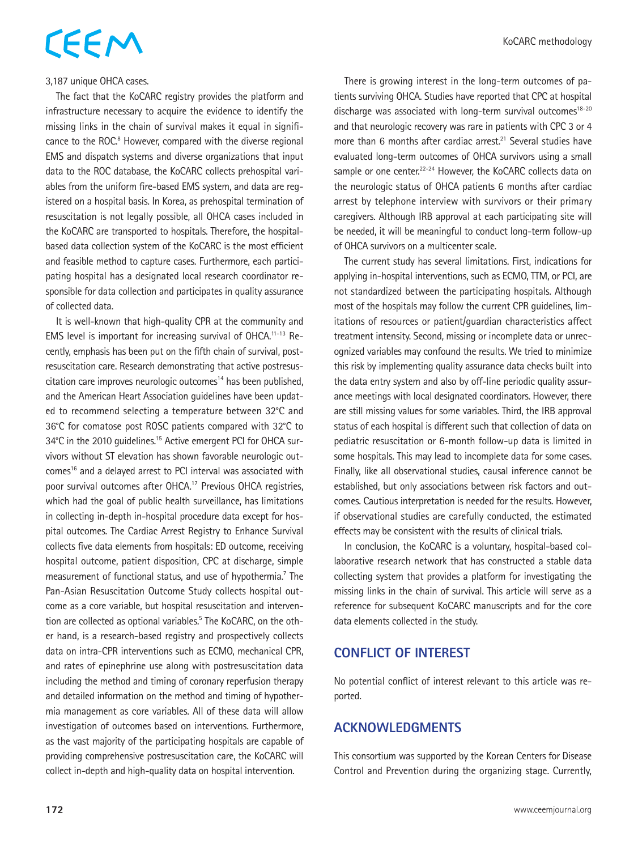### 3,187 unique OHCA cases.

The fact that the KoCARC registry provides the platform and infrastructure necessary to acquire the evidence to identify the missing links in the chain of survival makes it equal in significance to the ROC.<sup>8</sup> However, compared with the diverse regional EMS and dispatch systems and diverse organizations that input data to the ROC database, the KoCARC collects prehospital variables from the uniform fire-based EMS system, and data are registered on a hospital basis. In Korea, as prehospital termination of resuscitation is not legally possible, all OHCA cases included in the KoCARC are transported to hospitals. Therefore, the hospitalbased data collection system of the KoCARC is the most efficient and feasible method to capture cases. Furthermore, each participating hospital has a designated local research coordinator responsible for data collection and participates in quality assurance of collected data.

It is well-known that high-quality CPR at the community and EMS level is important for increasing survival of OHCA.11-13 Recently, emphasis has been put on the fifth chain of survival, postresuscitation care. Research demonstrating that active postresuscitation care improves neurologic outcomes<sup>14</sup> has been published, and the American Heart Association guidelines have been updated to recommend selecting a temperature between 32°C and 36°C for comatose post ROSC patients compared with 32°C to 34°C in the 2010 quidelines.<sup>15</sup> Active emergent PCI for OHCA survivors without ST elevation has shown favorable neurologic outcomes<sup>16</sup> and a delayed arrest to PCI interval was associated with poor survival outcomes after OHCA.17 Previous OHCA registries, which had the goal of public health surveillance, has limitations in collecting in-depth in-hospital procedure data except for hospital outcomes. The Cardiac Arrest Registry to Enhance Survival collects five data elements from hospitals: ED outcome, receiving hospital outcome, patient disposition, CPC at discharge, simple measurement of functional status, and use of hypothermia.<sup>7</sup> The Pan-Asian Resuscitation Outcome Study collects hospital outcome as a core variable, but hospital resuscitation and intervention are collected as optional variables.<sup>5</sup> The KoCARC, on the other hand, is a research-based registry and prospectively collects data on intra-CPR interventions such as ECMO, mechanical CPR, and rates of epinephrine use along with postresuscitation data including the method and timing of coronary reperfusion therapy and detailed information on the method and timing of hypothermia management as core variables. All of these data will allow investigation of outcomes based on interventions. Furthermore, as the vast majority of the participating hospitals are capable of providing comprehensive postresuscitation care, the KoCARC will collect in-depth and high-quality data on hospital intervention.

There is growing interest in the long-term outcomes of patients surviving OHCA. Studies have reported that CPC at hospital discharge was associated with long-term survival outcomes $18-20$ and that neurologic recovery was rare in patients with CPC 3 or 4 more than 6 months after cardiac arrest.<sup>21</sup> Several studies have evaluated long-term outcomes of OHCA survivors using a small sample or one center.<sup>22-24</sup> However, the KoCARC collects data on the neurologic status of OHCA patients 6 months after cardiac arrest by telephone interview with survivors or their primary caregivers. Although IRB approval at each participating site will be needed, it will be meaningful to conduct long-term follow-up of OHCA survivors on a multicenter scale.

The current study has several limitations. First, indications for applying in-hospital interventions, such as ECMO, TTM, or PCI, are not standardized between the participating hospitals. Although most of the hospitals may follow the current CPR guidelines, limitations of resources or patient/guardian characteristics affect treatment intensity. Second, missing or incomplete data or unrecognized variables may confound the results. We tried to minimize this risk by implementing quality assurance data checks built into the data entry system and also by off-line periodic quality assurance meetings with local designated coordinators. However, there are still missing values for some variables. Third, the IRB approval status of each hospital is different such that collection of data on pediatric resuscitation or 6-month follow-up data is limited in some hospitals. This may lead to incomplete data for some cases. Finally, like all observational studies, causal inference cannot be established, but only associations between risk factors and outcomes. Cautious interpretation is needed for the results. However, if observational studies are carefully conducted, the estimated effects may be consistent with the results of clinical trials.

In conclusion, the KoCARC is a voluntary, hospital-based collaborative research network that has constructed a stable data collecting system that provides a platform for investigating the missing links in the chain of survival. This article will serve as a reference for subsequent KoCARC manuscripts and for the core data elements collected in the study.

## **CONFLICT OF INTEREST**

No potential conflict of interest relevant to this article was reported.

## **ACKNOWLEDGMENTS**

This consortium was supported by the Korean Centers for Disease Control and Prevention during the organizing stage. Currently,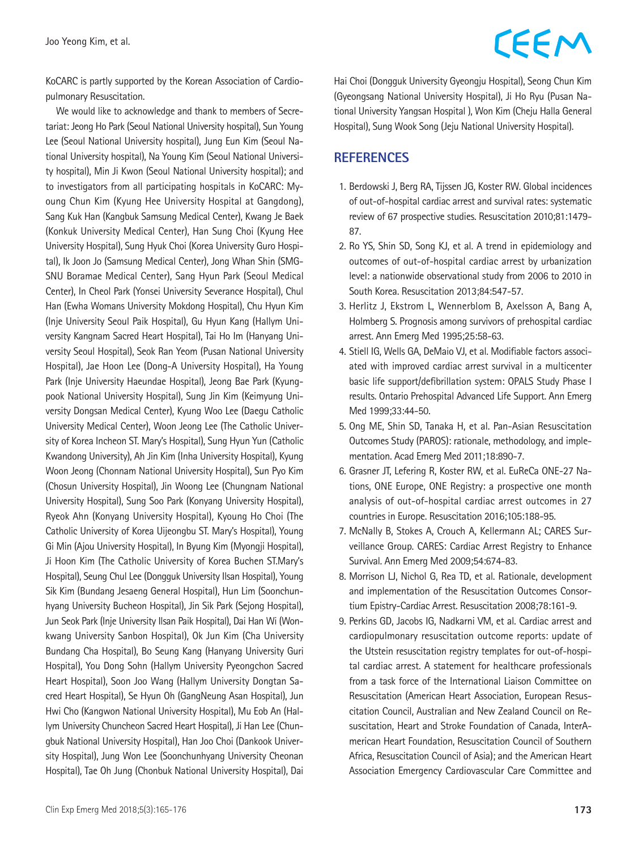KoCARC is partly supported by the Korean Association of Cardiopulmonary Resuscitation.

We would like to acknowledge and thank to members of Secretariat: Jeong Ho Park (Seoul National University hospital), Sun Young Lee (Seoul National University hospital), Jung Eun Kim (Seoul National University hospital), Na Young Kim (Seoul National University hospital), Min Ji Kwon (Seoul National University hospital); and to investigators from all participating hospitals in KoCARC: Myoung Chun Kim (Kyung Hee University Hospital at Gangdong), Sang Kuk Han (Kangbuk Samsung Medical Center), Kwang Je Baek (Konkuk University Medical Center), Han Sung Choi (Kyung Hee University Hospital), Sung Hyuk Choi (Korea University Guro Hospital), Ik Joon Jo (Samsung Medical Center), Jong Whan Shin (SMG-SNU Boramae Medical Center), Sang Hyun Park (Seoul Medical Center), In Cheol Park (Yonsei University Severance Hospital), Chul Han (Ewha Womans University Mokdong Hospital), Chu Hyun Kim (Inje University Seoul Paik Hospital), Gu Hyun Kang (Hallym University Kangnam Sacred Heart Hospital), Tai Ho Im (Hanyang University Seoul Hospital), Seok Ran Yeom (Pusan National University Hospital), Jae Hoon Lee (Dong-A University Hospital), Ha Young Park (Inje University Haeundae Hospital), Jeong Bae Park (Kyungpook National University Hospital), Sung Jin Kim (Keimyung University Dongsan Medical Center), Kyung Woo Lee (Daegu Catholic University Medical Center), Woon Jeong Lee (The Catholic University of Korea Incheon ST. Mary's Hospital), Sung Hyun Yun (Catholic Kwandong University), Ah Jin Kim (Inha University Hospital), Kyung Woon Jeong (Chonnam National University Hospital), Sun Pyo Kim (Chosun University Hospital), Jin Woong Lee (Chungnam National University Hospital), Sung Soo Park (Konyang University Hospital), Ryeok Ahn (Konyang University Hospital), Kyoung Ho Choi (The Catholic University of Korea Uijeongbu ST. Mary's Hospital), Young Gi Min (Ajou University Hospital), In Byung Kim (Myongji Hospital), Ji Hoon Kim (The Catholic University of Korea Buchen ST.Mary's Hospital), Seung Chul Lee (Dongguk University Ilsan Hospital), Young Sik Kim (Bundang Jesaeng General Hospital), Hun Lim (Soonchunhyang University Bucheon Hospital), Jin Sik Park (Sejong Hospital), Jun Seok Park (Inje University Ilsan Paik Hospital), Dai Han Wi (Wonkwang University Sanbon Hospital), Ok Jun Kim (Cha University Bundang Cha Hospital), Bo Seung Kang (Hanyang University Guri Hospital), You Dong Sohn (Hallym University Pyeongchon Sacred Heart Hospital), Soon Joo Wang (Hallym University Dongtan Sacred Heart Hospital), Se Hyun Oh (GangNeung Asan Hospital), Jun Hwi Cho (Kangwon National University Hospital), Mu Eob An (Hallym University Chuncheon Sacred Heart Hospital), Ji Han Lee (Chungbuk National University Hospital), Han Joo Choi (Dankook University Hospital), Jung Won Lee (Soonchunhyang University Cheonan Hospital), Tae Oh Jung (Chonbuk National University Hospital), Dai

Hai Choi (Dongguk University Gyeongju Hospital), Seong Chun Kim (Gyeongsang National University Hospital), Ji Ho Ryu (Pusan National University Yangsan Hospital ), Won Kim (Cheju Halla General Hospital), Sung Wook Song (Jeju National University Hospital).

## **REFERENCES**

- 1. Berdowski J, Berg RA, Tijssen JG, Koster RW. Global incidences of out-of-hospital cardiac arrest and survival rates: systematic review of 67 prospective studies. Resuscitation 2010;81:1479- 87.
- 2. Ro YS, Shin SD, Song KJ, et al. A trend in epidemiology and outcomes of out-of-hospital cardiac arrest by urbanization level: a nationwide observational study from 2006 to 2010 in South Korea. Resuscitation 2013;84:547-57.
- 3. Herlitz J, Ekstrom L, Wennerblom B, Axelsson A, Bang A, Holmberg S. Prognosis among survivors of prehospital cardiac arrest. Ann Emerg Med 1995;25:58-63.
- 4. Stiell IG, Wells GA, DeMaio VJ, et al. Modifiable factors associated with improved cardiac arrest survival in a multicenter basic life support/defibrillation system: OPALS Study Phase I results. Ontario Prehospital Advanced Life Support. Ann Emerg Med 1999;33:44-50.
- 5. Ong ME, Shin SD, Tanaka H, et al. Pan-Asian Resuscitation Outcomes Study (PAROS): rationale, methodology, and implementation. Acad Emerg Med 2011;18:890-7.
- 6. Grasner JT, Lefering R, Koster RW, et al. EuReCa ONE-27 Nations, ONE Europe, ONE Registry: a prospective one month analysis of out-of-hospital cardiac arrest outcomes in 27 countries in Europe. Resuscitation 2016;105:188-95.
- 7. McNally B, Stokes A, Crouch A, Kellermann AL; CARES Surveillance Group. CARES: Cardiac Arrest Registry to Enhance Survival. Ann Emerg Med 2009;54:674-83.
- 8. Morrison LJ, Nichol G, Rea TD, et al. Rationale, development and implementation of the Resuscitation Outcomes Consortium Epistry-Cardiac Arrest. Resuscitation 2008;78:161-9.
- 9. Perkins GD, Jacobs IG, Nadkarni VM, et al. Cardiac arrest and cardiopulmonary resuscitation outcome reports: update of the Utstein resuscitation registry templates for out-of-hospital cardiac arrest. A statement for healthcare professionals from a task force of the International Liaison Committee on Resuscitation (American Heart Association, European Resuscitation Council, Australian and New Zealand Council on Resuscitation, Heart and Stroke Foundation of Canada, InterAmerican Heart Foundation, Resuscitation Council of Southern Africa, Resuscitation Council of Asia); and the American Heart Association Emergency Cardiovascular Care Committee and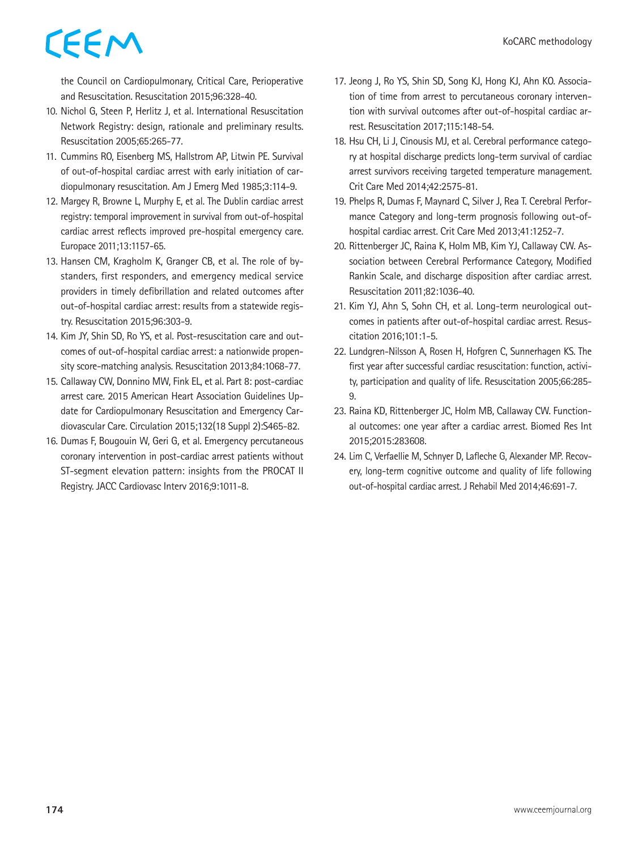the Council on Cardiopulmonary, Critical Care, Perioperative and Resuscitation. Resuscitation 2015;96:328-40.

- 10. Nichol G, Steen P, Herlitz J, et al. International Resuscitation Network Registry: design, rationale and preliminary results. Resuscitation 2005;65:265-77.
- 11. Cummins RO, Eisenberg MS, Hallstrom AP, Litwin PE. Survival of out-of-hospital cardiac arrest with early initiation of cardiopulmonary resuscitation. Am J Emerg Med 1985;3:114-9.
- 12. Margey R, Browne L, Murphy E, et al. The Dublin cardiac arrest registry: temporal improvement in survival from out-of-hospital cardiac arrest reflects improved pre-hospital emergency care. Europace 2011;13:1157-65.
- 13. Hansen CM, Kragholm K, Granger CB, et al. The role of bystanders, first responders, and emergency medical service providers in timely defibrillation and related outcomes after out-of-hospital cardiac arrest: results from a statewide registry. Resuscitation 2015;96:303-9.
- 14. Kim JY, Shin SD, Ro YS, et al. Post-resuscitation care and outcomes of out-of-hospital cardiac arrest: a nationwide propensity score-matching analysis. Resuscitation 2013;84:1068-77.
- 15. Callaway CW, Donnino MW, Fink EL, et al. Part 8: post-cardiac arrest care. 2015 American Heart Association Guidelines Update for Cardiopulmonary Resuscitation and Emergency Cardiovascular Care. Circulation 2015;132(18 Suppl 2):S465-82.
- 16. Dumas F, Bougouin W, Geri G, et al. Emergency percutaneous coronary intervention in post-cardiac arrest patients without ST-segment elevation pattern: insights from the PROCAT II Registry. JACC Cardiovasc Interv 2016;9:1011-8.
- 17. Jeong J, Ro YS, Shin SD, Song KJ, Hong KJ, Ahn KO. Association of time from arrest to percutaneous coronary intervention with survival outcomes after out-of-hospital cardiac arrest. Resuscitation 2017;115:148-54.
- 18. Hsu CH, Li J, Cinousis MJ, et al. Cerebral performance category at hospital discharge predicts long-term survival of cardiac arrest survivors receiving targeted temperature management. Crit Care Med 2014;42:2575-81.
- 19. Phelps R, Dumas F, Maynard C, Silver J, Rea T. Cerebral Performance Category and long-term prognosis following out-ofhospital cardiac arrest. Crit Care Med 2013;41:1252-7.
- 20. Rittenberger JC, Raina K, Holm MB, Kim YJ, Callaway CW. Association between Cerebral Performance Category, Modified Rankin Scale, and discharge disposition after cardiac arrest. Resuscitation 2011;82:1036-40.
- 21. Kim YJ, Ahn S, Sohn CH, et al. Long-term neurological outcomes in patients after out-of-hospital cardiac arrest. Resuscitation 2016;101:1-5.
- 22. Lundgren-Nilsson A, Rosen H, Hofgren C, Sunnerhagen KS. The first year after successful cardiac resuscitation: function, activity, participation and quality of life. Resuscitation 2005;66:285- 9.
- 23. Raina KD, Rittenberger JC, Holm MB, Callaway CW. Functional outcomes: one year after a cardiac arrest. Biomed Res Int 2015;2015:283608.
- 24. Lim C, Verfaellie M, Schnyer D, Lafleche G, Alexander MP. Recovery, long-term cognitive outcome and quality of life following out-of-hospital cardiac arrest. J Rehabil Med 2014;46:691-7.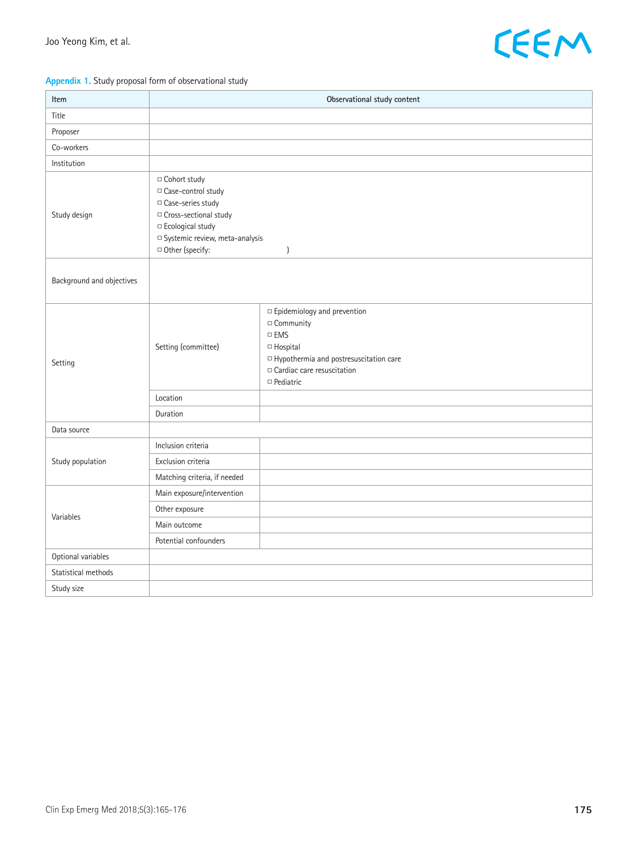

### **Appendix 1.** Study proposal form of observational study

| Item                      | Observational study content                                                                                                                                                          |                                                                                                                                                                                  |  |
|---------------------------|--------------------------------------------------------------------------------------------------------------------------------------------------------------------------------------|----------------------------------------------------------------------------------------------------------------------------------------------------------------------------------|--|
| Title                     |                                                                                                                                                                                      |                                                                                                                                                                                  |  |
| Proposer                  |                                                                                                                                                                                      |                                                                                                                                                                                  |  |
| Co-workers                |                                                                                                                                                                                      |                                                                                                                                                                                  |  |
| Institution               |                                                                                                                                                                                      |                                                                                                                                                                                  |  |
| Study design              | □ Cohort study<br>□ Case-control study<br>□ Case-series study<br>□ Cross-sectional study<br>□ Ecological study<br>□ Systemic review, meta-analysis<br>□ Other (specify:<br>$\lambda$ |                                                                                                                                                                                  |  |
| Background and objectives |                                                                                                                                                                                      |                                                                                                                                                                                  |  |
| Setting                   | Setting (committee)                                                                                                                                                                  | □ Epidemiology and prevention<br>□ Community<br>$\square$ EMS<br>□ Hospital<br>□ Hypothermia and postresuscitation care<br>$\Box$ Cardiac care resuscitation<br>$\Box$ Pediatric |  |
|                           | Location                                                                                                                                                                             |                                                                                                                                                                                  |  |
|                           | Duration                                                                                                                                                                             |                                                                                                                                                                                  |  |
| Data source               |                                                                                                                                                                                      |                                                                                                                                                                                  |  |
|                           | Inclusion criteria                                                                                                                                                                   |                                                                                                                                                                                  |  |
| Study population          | Exclusion criteria                                                                                                                                                                   |                                                                                                                                                                                  |  |
|                           | Matching criteria, if needed                                                                                                                                                         |                                                                                                                                                                                  |  |
|                           | Main exposure/intervention                                                                                                                                                           |                                                                                                                                                                                  |  |
| Variables                 | Other exposure                                                                                                                                                                       |                                                                                                                                                                                  |  |
|                           | Main outcome                                                                                                                                                                         |                                                                                                                                                                                  |  |
|                           | Potential confounders                                                                                                                                                                |                                                                                                                                                                                  |  |
| Optional variables        |                                                                                                                                                                                      |                                                                                                                                                                                  |  |
| Statistical methods       |                                                                                                                                                                                      |                                                                                                                                                                                  |  |
| Study size                |                                                                                                                                                                                      |                                                                                                                                                                                  |  |